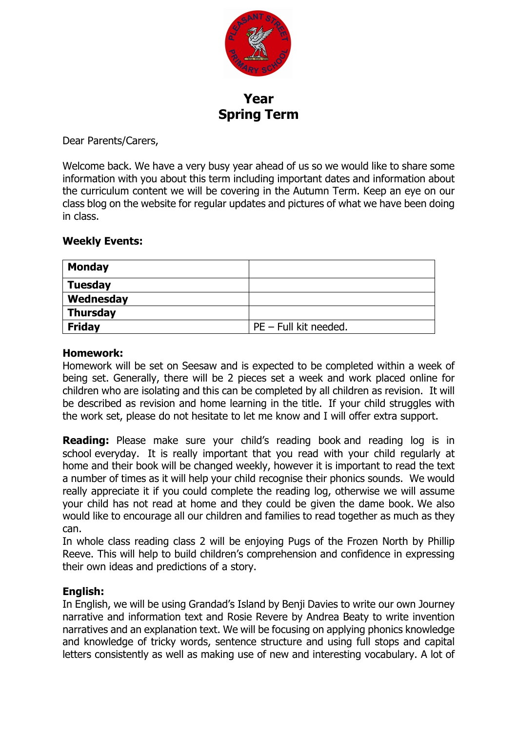

**Year Spring Term**

Dear Parents/Carers,

Welcome back. We have a very busy year ahead of us so we would like to share some information with you about this term including important dates and information about the curriculum content we will be covering in the Autumn Term. Keep an eye on our class blog on the website for regular updates and pictures of what we have been doing in class.

#### **Weekly Events:**

| <b>Monday</b>   |                         |  |
|-----------------|-------------------------|--|
| <b>Tuesday</b>  |                         |  |
| Wednesday       |                         |  |
| <b>Thursday</b> |                         |  |
| <b>Friday</b>   | $PE$ – Full kit needed. |  |

#### **Homework:**

Homework will be set on Seesaw and is expected to be completed within a week of being set. Generally, there will be 2 pieces set a week and work placed online for children who are isolating and this can be completed by all children as revision. It will be described as revision and home learning in the title. If your child struggles with the work set, please do not hesitate to let me know and I will offer extra support.

**Reading:** Please make sure your child's reading book and reading log is in school everyday. It is really important that you read with your child regularly at home and their book will be changed weekly, however it is important to read the text a number of times as it will help your child recognise their phonics sounds. We would really appreciate it if you could complete the reading log, otherwise we will assume your child has not read at home and they could be given the dame book. We also would like to encourage all our children and families to read together as much as they can.

In whole class reading class 2 will be enjoying Pugs of the Frozen North by Phillip Reeve. This will help to build children's comprehension and confidence in expressing their own ideas and predictions of a story.

#### **English:**

In English, we will be using Grandad's Island by Benji Davies to write our own Journey narrative and information text and Rosie Revere by Andrea Beaty to write invention narratives and an explanation text. We will be focusing on applying phonics knowledge and knowledge of tricky words, sentence structure and using full stops and capital letters consistently as well as making use of new and interesting vocabulary. A lot of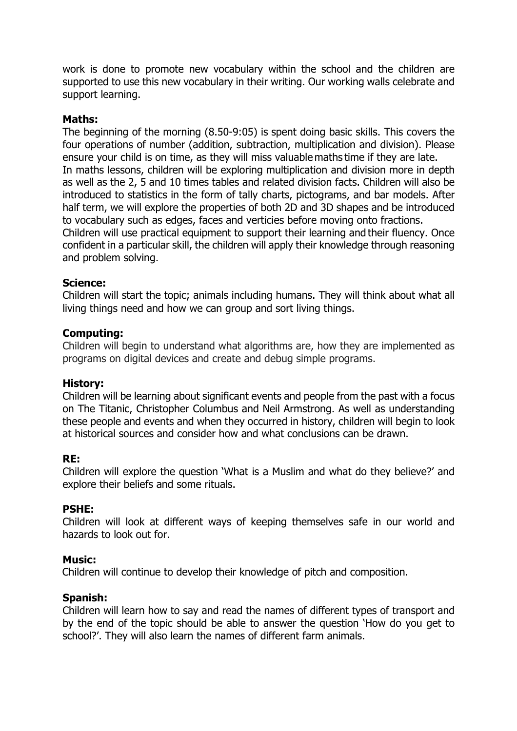work is done to promote new vocabulary within the school and the children are supported to use this new vocabulary in their writing. Our working walls celebrate and support learning.

# **Maths:**

The beginning of the morning (8.50-9:05) is spent doing basic skills. This covers the four operations of number (addition, subtraction, multiplication and division). Please ensure your child is on time, as they will miss valuable maths time if they are late.  In maths lessons, children will be exploring multiplication and division more in depth as well as the 2, 5 and 10 times tables and related division facts. Children will also be introduced to statistics in the form of tally charts, pictograms, and bar models. After half term, we will explore the properties of both 2D and 3D shapes and be introduced to vocabulary such as edges, faces and verticies before moving onto fractions. Children will use practical equipment to support their learning and their fluency. Once confident in a particular skill, the children will apply their knowledge through reasoning and problem solving.

## **Science:**

Children will start the topic; animals including humans. They will think about what all living things need and how we can group and sort living things.

## **Computing:**

Children will begin to understand what algorithms are, how they are implemented as programs on digital devices and create and debug simple programs.

#### **History:**

Children will be learning about significant events and people from the past with a focus on The Titanic, Christopher Columbus and Neil Armstrong. As well as understanding these people and events and when they occurred in history, children will begin to look at historical sources and consider how and what conclusions can be drawn.

#### **RE:**

Children will explore the question 'What is a Muslim and what do they believe?' and explore their beliefs and some rituals.

#### **PSHE:**

Children will look at different ways of keeping themselves safe in our world and hazards to look out for.

#### **Music:**

Children will continue to develop their knowledge of pitch and composition.

#### **Spanish:**

Children will learn how to say and read the names of different types of transport and by the end of the topic should be able to answer the question 'How do you get to school?'. They will also learn the names of different farm animals.